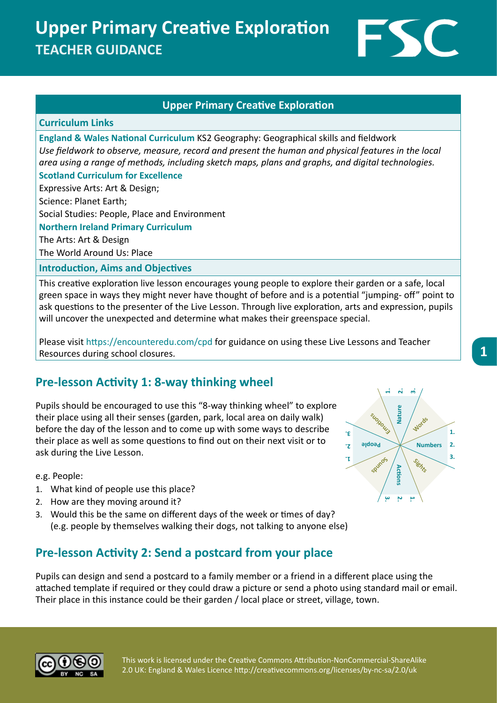**Upper Primary Creative Exploration TEACHER GUIDANCE**



### **Upper Primary Creative Exploration**

#### **Curriculum Links**

**England & Wales National Curriculum** KS2 Geography: Geographical skills and fieldwork *Use fieldwork to observe, measure, record and present the human and physical features in the local area using a range of methods, including sketch maps, plans and graphs, and digital technologies.* **Scotland Curriculum for Excellence**

Expressive Arts: Art & Design;

Science: Planet Earth;

Social Studies: People, Place and Environment

**Northern Ireland Primary Curriculum**

The Arts: Art & Design

The World Around Us: Place

#### **Introduction, Aims and Objectives**

This creative exploration live lesson encourages young people to explore their garden or a safe, local green space in ways they might never have thought of before and is a potential "jumping- off" point to ask questions to the presenter of the Live Lesson. Through live exploration, arts and expression, pupils will uncover the unexpected and determine what makes their greenspace special.

Please visit https://encounteredu.com/cpd for guidance on using these Live Lessons and Teacher Resources during school closures.

## **Pre-lesson Activity 1: 8-way thinking wheel**

Pupils should be encouraged to use this "8-way thinking wheel" to explore their place using all their senses (garden, park, local area on daily walk) before the day of the lesson and to come up with some ways to describe their place as well as some questions to find out on their next visit or to ask during the Live Lesson.

e.g. People:

- 1. What kind of people use this place?
- 2. How are they moving around it?
- 3. Would this be the same on different days of the week or times of day? (e.g. people by themselves walking their dogs, not talking to anyone else)

## **Pre-lesson Activity 2: Send a postcard from your place**

Pupils can design and send a postcard to a family member or a friend in a different place using the attached template if required or they could draw a picture or send a photo using standard mail or email. Their place in this instance could be their garden / local place or street, village, town.